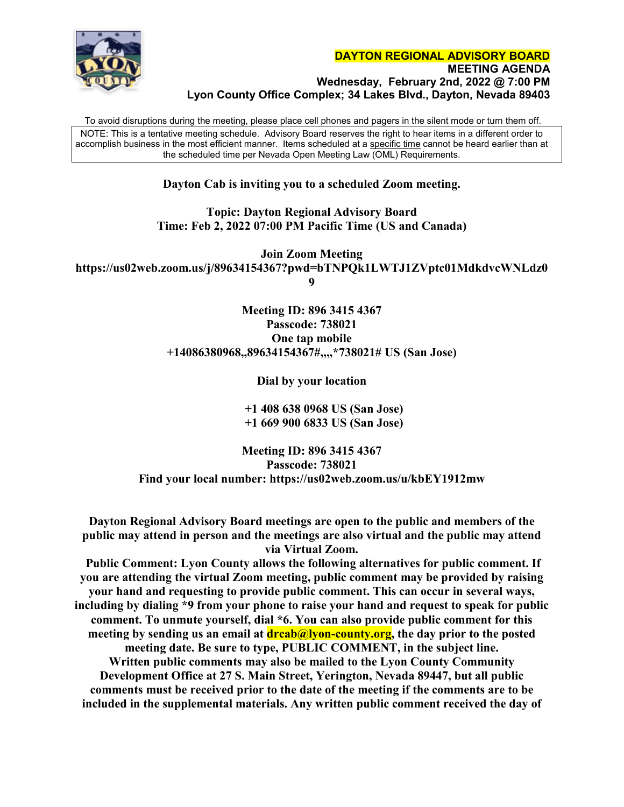

To avoid disruptions during the meeting, please place cell phones and pagers in the silent mode or turn them off. NOTE: This is a tentative meeting schedule. Advisory Board reserves the right to hear items in a different order to accomplish business in the most efficient manner. Items scheduled at a specific time cannot be heard earlier than at the scheduled time per Nevada Open Meeting Law (OML) Requirements.

## **Dayton Cab is inviting you to a scheduled Zoom meeting.**

### **Topic: Dayton Regional Advisory Board Time: Feb 2, 2022 07:00 PM Pacific Time (US and Canada)**

**Join Zoom Meeting https://us02web.zoom.us/j/89634154367?pwd=bTNPQk1LWTJ1ZVptc01MdkdvcWNLdz0 9**

> **Meeting ID: 896 3415 4367 Passcode: 738021 One tap mobile +14086380968,,89634154367#,,,,\*738021# US (San Jose)**

> > **Dial by your location**

 **+1 408 638 0968 US (San Jose) +1 669 900 6833 US (San Jose)**

**Meeting ID: 896 3415 4367 Passcode: 738021 Find your local number: https://us02web.zoom.us/u/kbEY1912mw**

**Dayton Regional Advisory Board meetings are open to the public and members of the public may attend in person and the meetings are also virtual and the public may attend via Virtual Zoom.**

**Public Comment: Lyon County allows the following alternatives for public comment. If you are attending the virtual Zoom meeting, public comment may be provided by raising your hand and requesting to provide public comment. This can occur in several ways, including by dialing \*9 from your phone to raise your hand and request to speak for public comment. To unmute yourself, dial \*6. You can also provide public comment for this**  meeting by sending us an email at **dreab@lyon-county.org**, the day prior to the posted **meeting date. Be sure to type, PUBLIC COMMENT, in the subject line. Written public comments may also be mailed to the Lyon County Community Development Office at 27 S. Main Street, Yerington, Nevada 89447, but all public comments must be received prior to the date of the meeting if the comments are to be included in the supplemental materials. Any written public comment received the day of**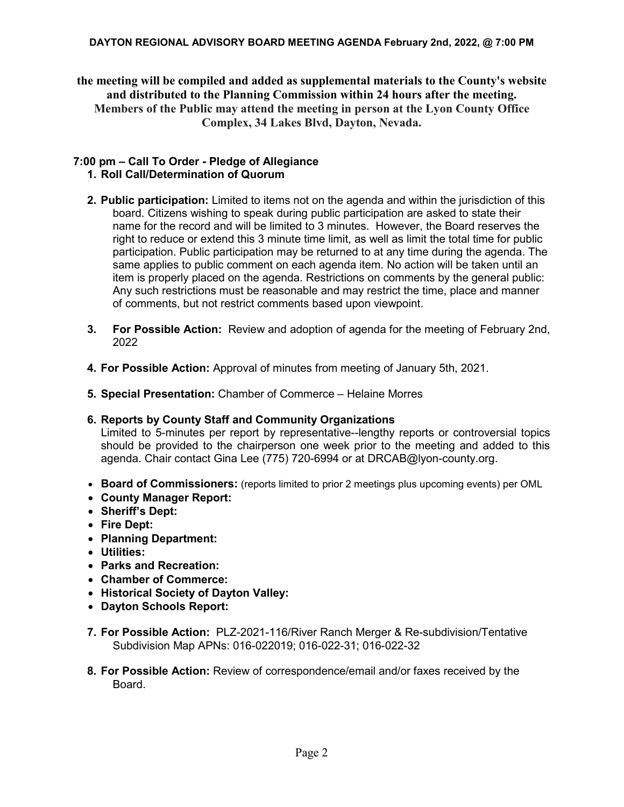### **DAYTON REGIONAL ADVISORY BOARD MEETING AGENDA February 2nd, 2022, @ 7:00 PM**

**the meeting will be compiled and added as supplemental materials to the County's website and distributed to the Planning Commission within 24 hours after the meeting. Members of the Public may attend the meeting in person at the Lyon County Office Complex, 34 Lakes Blvd, Dayton, Nevada.**

# **7:00 pm – Call To Order - Pledge of Allegiance**

## **1. Roll Call/Determination of Quorum**

- **2. Public participation:** Limited to items not on the agenda and within the jurisdiction of this board. Citizens wishing to speak during public participation are asked to state their name for the record and will be limited to 3 minutes. However, the Board reserves the right to reduce or extend this 3 minute time limit, as well as limit the total time for public participation. Public participation may be returned to at any time during the agenda. The same applies to public comment on each agenda item. No action will be taken until an item is properly placed on the agenda. Restrictions on comments by the general public: Any such restrictions must be reasonable and may restrict the time, place and manner of comments, but not restrict comments based upon viewpoint.
- **3. For Possible Action:** Review and adoption of agenda for the meeting of February 2nd, 2022
- **4. For Possible Action:** Approval of minutes from meeting of January 5th, 2021.
- **5. Special Presentation:** Chamber of Commerce Helaine Morres

## **6. Reports by County Staff and Community Organizations**

Limited to 5-minutes per report by representative--lengthy reports or controversial topics should be provided to the chairperson one week prior to the meeting and added to this agenda. Chair contact Gina Lee (775) 720-6994 or at [DRCAB@lyon-county.org.](mailto:DRCAB@lyon-county.org)

- **Board of Commissioners:** (reports limited to prior 2 meetings plus upcoming events) per OML
- **County Manager Report:**
- **Sheriff's Dept:**
- **Fire Dept:**
- **Planning Department:**
- **Utilities:**
- **Parks and Recreation:**
- **Chamber of Commerce:**
- **Historical Society of Dayton Valley:**
- **Dayton Schools Report:**
- **7. For Possible Action:** PLZ-2021-116/River Ranch Merger & Re-subdivision/Tentative Subdivision Map APNs: 016-022019; 016-022-31; 016-022-32
- **8. For Possible Action:** Review of correspondence/email and/or faxes received by the **Board**